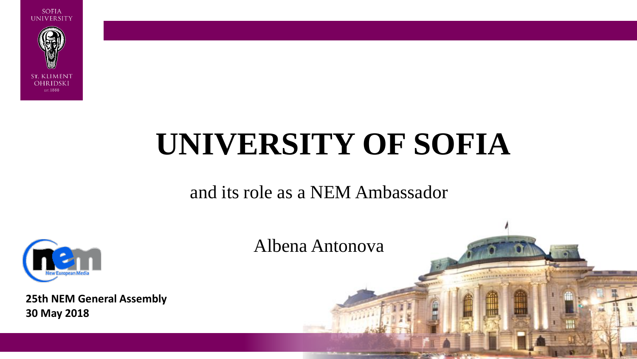

# **UNIVERSITY OF SOFIA**

#### and its role as a NEM Ambassador



**25th NEM General Assembly 30 May 2018**

Albena Antonova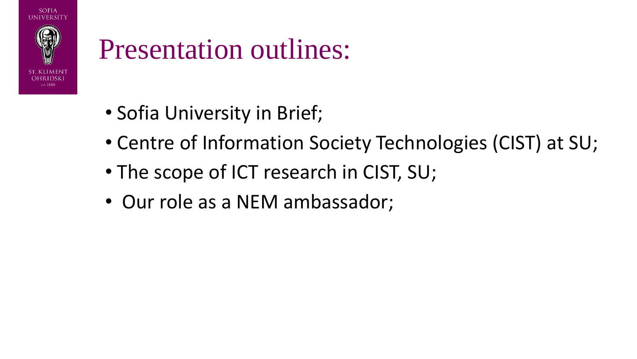

### Presentation outlines:

- Sofia University in Brief;
- Centre of Information Society Technologies (CIST) at SU;
- The scope of ICT research in CIST, SU;
- Our role as a NEM ambassador;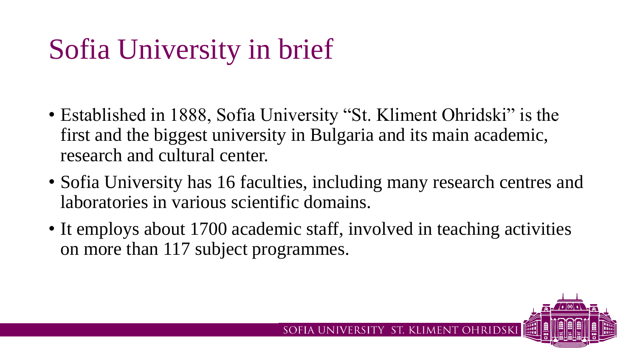## Sofia University in brief

- Established in 1888, Sofia University "St. Kliment Ohridski" is the first and the biggest university in Bulgaria and its main academic, research and cultural center.
- Sofia University has 16 faculties, including many research centres and laboratories in various scientific domains.
- It employs about 1700 academic staff, involved in teaching activities on more than 117 subject programmes.

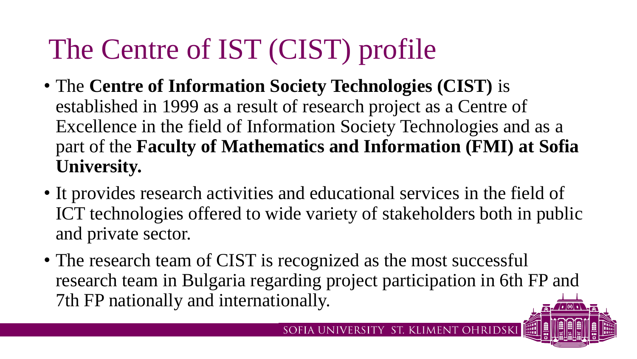## The Centre of IST (CIST) profile

- The **Centre of Information Society Technologies (CIST)** is established in 1999 as a result of research project as a Centre of Excellence in the field of Information Society Technologies and as a part of the **Faculty of Mathematics and Information (FMI) at Sofia University.**
- It provides research activities and educational services in the field of ICT technologies offered to wide variety of stakeholders both in public and private sector.
- The research team of CIST is recognized as the most successful research team in Bulgaria regarding project participation in 6th FP and 7th FP nationally and internationally.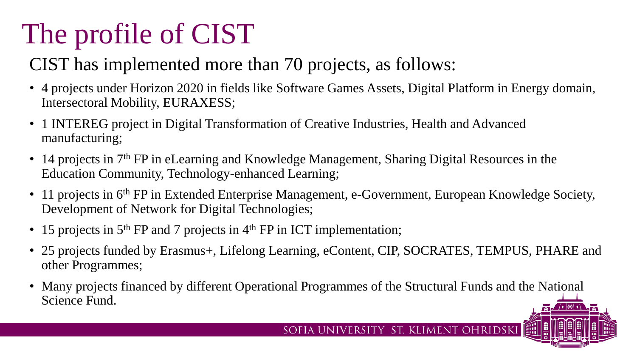## The profile of CIST

### CIST has implemented more than 70 projects, as follows:

- 4 projects under Horizon 2020 in fields like Software Games Assets, Digital Platform in Energy domain, Intersectoral Mobility, EURAXESS;
- 1 INTEREG project in Digital Transformation of Creative Industries, Health and Advanced manufacturing;
- 14 projects in 7<sup>th</sup> FP in eLearning and Knowledge Management, Sharing Digital Resources in the Education Community, Technology-enhanced Learning;
- 11 projects in 6<sup>th</sup> FP in Extended Enterprise Management, e-Government, European Knowledge Society, Development of Network for Digital Technologies;
- 15 projects in  $5<sup>th</sup> FP$  and 7 projects in  $4<sup>th</sup> FP$  in ICT implementation;
- 25 projects funded by Erasmus+, Lifelong Learning, eContent, CIP, SOCRATES, TEMPUS, PHARE and other Programmes;
- Many projects financed by different Operational Programmes of the Structural Funds and the National Science Fund.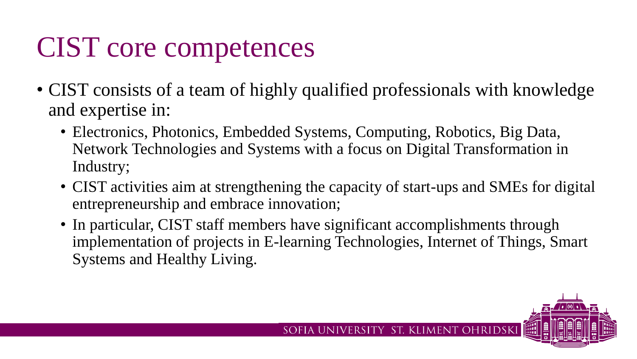## CIST core competences

- CIST consists of a team of highly qualified professionals with knowledge and expertise in:
	- Electronics, Photonics, Embedded Systems, Computing, Robotics, Big Data, Network Technologies and Systems with a focus on Digital Transformation in Industry;
	- CIST activities aim at strengthening the capacity of start-ups and SMEs for digital entrepreneurship and embrace innovation;
	- In particular, CIST staff members have significant accomplishments through implementation of projects in E-learning Technologies, Internet of Things, Smart Systems and Healthy Living.

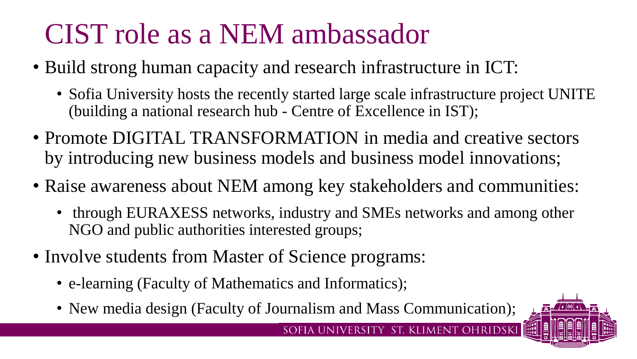## CIST role as a NEM ambassador

- Build strong human capacity and research infrastructure in ICT:
	- Sofia University hosts the recently started large scale infrastructure project UNITE (building a national research hub - Centre of Excellence in IST);
- Promote DIGITAL TRANSFORMATION in media and creative sectors by introducing new business models and business model innovations;
- Raise awareness about NEM among key stakeholders and communities:
	- through EURAXESS networks, industry and SMEs networks and among other NGO and public authorities interested groups;

SOFIA UNIVERSITY ST. KLIMENT OHRIDSKI

- Involve students from Master of Science programs:
	- e-learning (Faculty of Mathematics and Informatics);
	- New media design (Faculty of Journalism and Mass Communication);